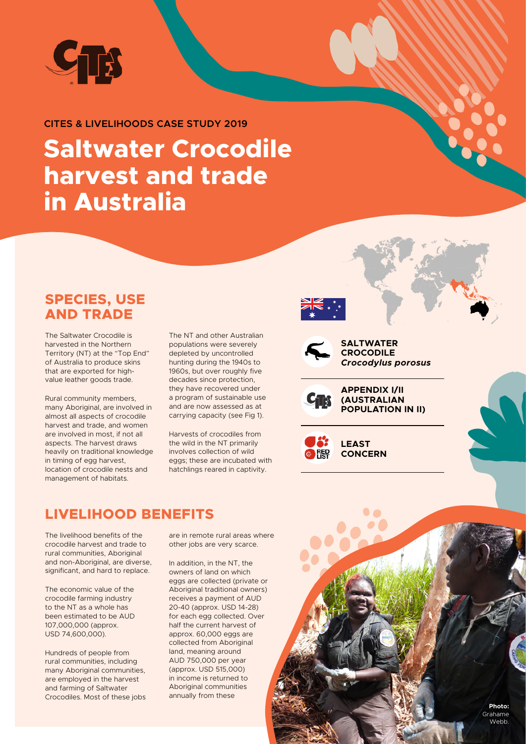

#### **CITES & LIVELIHOODS CASE STUDY 2019**

# **Saltwater Crocodile harvest and trade in Australia**

#### **SPECIES, USE AND TRADE**

The Saltwater Crocodile is harvested in the Northern Territory (NT) at the "Top End" of Australia to produce skins that are exported for highvalue leather goods trade.

Rural community members, many Aboriginal, are involved in almost all aspects of crocodile harvest and trade, and women are involved in most, if not all aspects. The harvest draws heavily on traditional knowledge in timing of egg harvest, location of crocodile nests and management of habitats.

The NT and other Australian populations were severely depleted by uncontrolled hunting during the 1940s to 1960s, but over roughly five decades since protection, they have recovered under a program of sustainable use and are now assessed as at carrying capacity (see Fig 1).

Harvests of crocodiles from the wild in the NT primarily involves collection of wild eggs; these are incubated with hatchlings reared in captivity.

### **LIVELIHOOD BENEFITS**

The livelihood benefits of the crocodile harvest and trade to rural communities, Aboriginal and non-Aboriginal, are diverse, significant, and hard to replace.

The economic value of the crocodile farming industry to the NT as a whole has been estimated to be AUD 107,000,000 (approx. USD 74,600,000).

Hundreds of people from rural communities, including many Aboriginal communities, are employed in the harvest and farming of Saltwater Crocodiles. Most of these jobs

are in remote rural areas where other jobs are very scarce.

In addition, in the NT, the owners of land on which eggs are collected (private or Aboriginal traditional owners) receives a payment of AUD 20-40 (approx. USD 14-28) for each egg collected. Over half the current harvest of approx. 60,000 eggs are collected from Aboriginal land, meaning around AUD 750,000 per year (approx. USD 515,000) in income is returned to Aboriginal communities annually from these





**SALTWATER CROCODILE**  *Crocodylus porosus*



**APPENDIX I/II (AUSTRALIAN POPULATION IN II)**



**LEAST CONCERN**